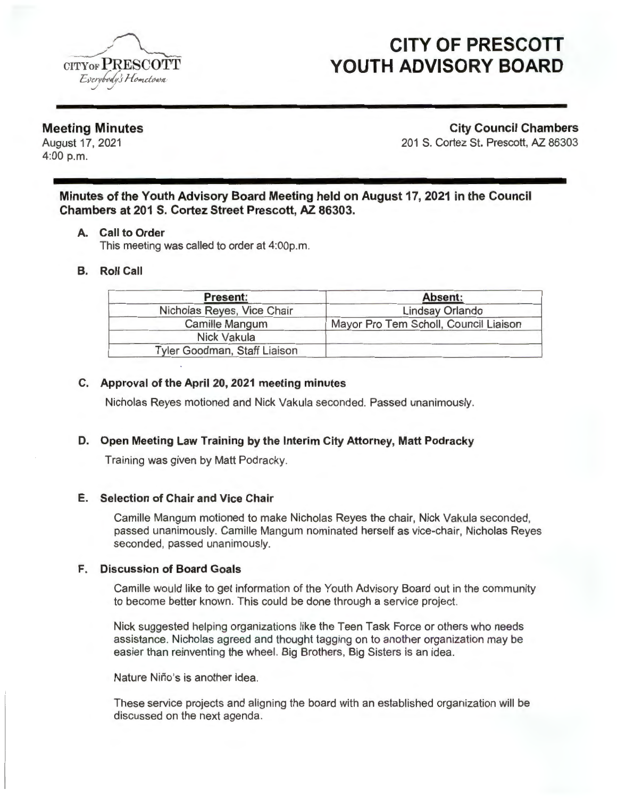

# **CITY OF PRESCOTT YOUTH ADVISORY BOARD**

**Meeting Minutes** 

August 17, 2021 4:00 p.m.

**City Council Chambers** 

201 S. Cortez St. Prescott, AZ 86303

**Minutes of the Youth Advisory Board Meeting held on August 17, 2021 in the Council Chambers at 201 S. Cortez Street Prescott, AZ 86303.** 

#### **A. Call to Order**

This meeting was called to order at 4:00p.m.

## **B. Roll Call**

| Present:                     | Absent:                               |
|------------------------------|---------------------------------------|
| Nicholas Reyes, Vice Chair   | Lindsay Orlando                       |
| Camille Mangum               | Mayor Pro Tem Scholl, Council Liaison |
| Nick Vakula                  |                                       |
| Tyler Goodman, Staff Liaison |                                       |

## **C. Approval of the April 20, 2021 meeting minutes**

Nicholas Reyes motioned and Nick Vakula seconded. Passed unanimously.

#### **D. Open Meeting Law Training by the Interim City Attorney, Matt Podracky**

Training was given by Matt Podracky.

#### **E. Selection of Chair and Vice Chair**

Camille Mangum motioned to make Nicholas Reyes the chair, Nick Vakula seconded, passed unanimously. Camille Mangum nominated herself as vice-chair, Nicholas Reyes seconded, passed unanimously.

#### **F. Discussion of Board Goals**

Camille would like to get information of the Youth Advisory Board out in the community to become better known. This could be done through a service project.

Nick suggested helping organizations like the Teen Task Force or others who needs assistance. Nicholas agreed and thought tagging on to another organization may be easier than reinventing the wheel. Big Brothers, Big Sisters is an idea.

Nature Niño's is another idea.

These service projects and aligning the board with an established organization will be discussed on the next agenda.